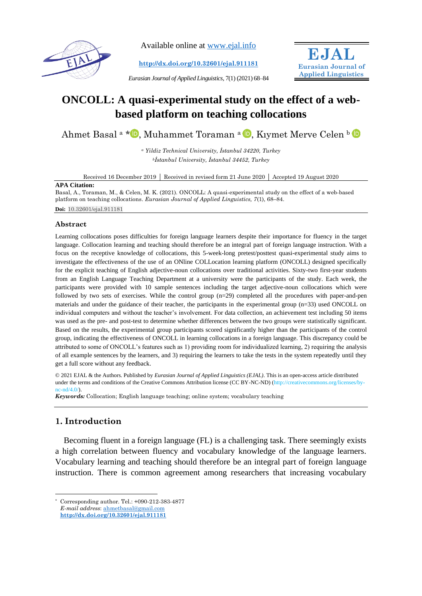

Available online at [www.ejal.info](http://www.ejal.info/)

**<http://dx.doi.org/10.32601/ejal.911181>**

*Eurasian Journal of Applied Linguistics,* 7(1) (2021) 68–84



# **ONCOLL: A quasi-experimental study on the effect of a webbased platform on teaching collocations**

Ahmet Basal a [\\*](https://orcid.org/0000-0003-4295-4577) D[,](https://orcid.org/0000-0001-8424-0607) Muhammet Toraman a D, Kıymet Merve Celen b D

*<sup>a</sup> Yildiz Technical University, İstanbul 34220, Turkey <sup>b</sup>İstanbul University, İstanbul 34452, Turkey*

Received 16 December 2019 Received in revised form 21 June 2020 Accepted 19 August 2020

#### **APA Citation:**

Basal, A., Toraman, M., & Celen, M. K. (2021). ONCOLL: A quasi-experimental study on the effect of a web-based platform on teaching collocations. *Eurasian Journal of Applied Linguistics, 7*(1), 68–84. **Doi:** 10.32601/ejal.911181

#### **Abstract**

Learning collocations poses difficulties for foreign language learners despite their importance for fluency in the target language. Collocation learning and teaching should therefore be an integral part of foreign language instruction. With a focus on the receptive knowledge of collocations, this 5-week-long pretest/posttest quasi-experimental study aims to investigate the effectiveness of the use of an ONline COLLocation learning platform (ONCOLL) designed specifically for the explicit teaching of English adjective-noun collocations over traditional activities. Sixty-two first-year students from an English Language Teaching Department at a university were the participants of the study. Each week, the participants were provided with 10 sample sentences including the target adjective-noun collocations which were followed by two sets of exercises. While the control group (n=29) completed all the procedures with paper-and-pen materials and under the guidance of their teacher, the participants in the experimental group (n=33) used ONCOLL on individual computers and without the teacher's involvement. For data collection, an achievement test including 50 items was used as the pre- and post-test to determine whether differences between the two groups were statistically significant. Based on the results, the experimental group participants scored significantly higher than the participants of the control group, indicating the effectiveness of ONCOLL in learning collocations in a foreign language. This discrepancy could be attributed to some of ONCOLL's features such as 1) providing room for individualized learning, 2) requiring the analysis of all example sentences by the learners, and 3) requiring the learners to take the tests in the system repeatedly until they get a full score without any feedback.

© 2021 EJAL & the Authors. Published by *Eurasian Journal of Applied Linguistics (EJAL)*. This is an open-access article distributed under the terms and conditions of the Creative Commons Attribution license (CC BY-NC-ND) (http://creativecommons.org/licenses/by $nc$ -nd/4.0 $\land$ 

*Keywords:* Collocation; English language teaching; online system; vocabulary teaching

## **1. Introduction**

Becoming fluent in a foreign language (FL) is a challenging task. There seemingly exists a high correlation between fluency and vocabulary knowledge of the language learners. Vocabulary learning and teaching should therefore be an integral part of foreign language instruction. There is common agreement among researchers that increasing vocabulary

Corresponding author. Tel.: +090-212-383-4877

*E-mail address*: [ahmetbasal@gmail.com](mailto:ahmetbasal@gmail.com)

**<http://dx.doi.org/10.32601/ejal.911181>**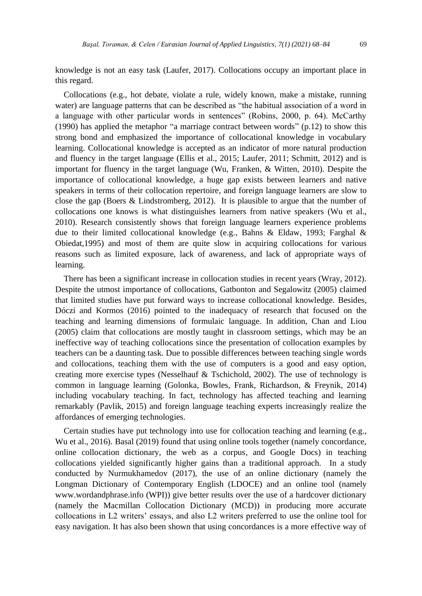knowledge is not an easy task (Laufer, 2017). Collocations occupy an important place in this regard.

Collocations (e.g., hot debate, violate a rule, widely known, make a mistake, running water) are language patterns that can be described as "the habitual association of a word in a language with other particular words in sentences" (Robins, 2000, p. 64). McCarthy (1990) has applied the metaphor "a marriage contract between words" (p.12) to show this strong bond and emphasized the importance of collocational knowledge in vocabulary learning. Collocational knowledge is accepted as an indicator of more natural production and fluency in the target language (Ellis et al., 2015; Laufer, 2011; Schmitt, 2012) and is important for fluency in the target language (Wu, Franken, & Witten, 2010). Despite the importance of collocational knowledge, a huge gap exists between learners and native speakers in terms of their collocation repertoire, and foreign language learners are slow to close the gap (Boers & Lindstromberg, 2012). It is plausible to argue that the number of collocations one knows is what distinguishes learners from native speakers (Wu et al., 2010). Research consistently shows that foreign language learners experience problems due to their limited collocational knowledge (e.g., Bahns & Eldaw, 1993; Farghal & Obiedat,1995) and most of them are quite slow in acquiring collocations for various reasons such as limited exposure, lack of awareness, and lack of appropriate ways of learning.

There has been a significant increase in collocation studies in recent years (Wray, 2012). Despite the utmost importance of collocations, Gatbonton and Segalowitz (2005) claimed that limited studies have put forward ways to increase collocational knowledge. Besides, Dóczi and Kormos (2016) pointed to the inadequacy of research that focused on the teaching and learning dimensions of formulaic language. In addition, Chan and Liou (2005) claim that collocations are mostly taught in classroom settings, which may be an ineffective way of teaching collocations since the presentation of collocation examples by teachers can be a daunting task. Due to possible differences between teaching single words and collocations, teaching them with the use of computers is a good and easy option, creating more exercise types (Nesselhauf & Tschichold, 2002). The use of technology is common in language learning (Golonka, Bowles, Frank, Richardson, & Freynik, 2014) including vocabulary teaching. In fact, technology has affected teaching and learning remarkably (Pavlik, 2015) and foreign language teaching experts increasingly realize the affordances of emerging technologies.

Certain studies have put technology into use for collocation teaching and learning (e.g., Wu et al., 2016). Basal (2019) found that using online tools together (namely concordance, online collocation dictionary, the web as a corpus, and Google Docs) in teaching collocations yielded significantly higher gains than a traditional approach. In a study conducted by Nurmukhamedov (2017), the use of an online dictionary (namely the Longman Dictionary of Contemporary English (LDOCE) and an online tool (namely www.wordandphrase.info (WPI)) give better results over the use of a hardcover dictionary (namely the Macmillan Collocation Dictionary (MCD)) in producing more accurate collocations in L2 writers' essays, and also L2 writers preferred to use the online tool for easy navigation. It has also been shown that using concordances is a more effective way of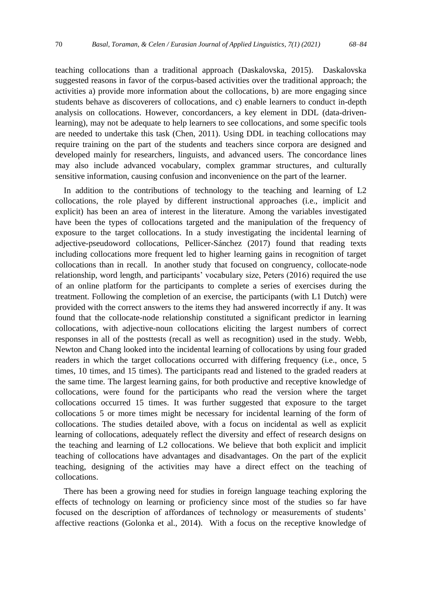teaching collocations than a traditional approach (Daskalovska, 2015). Daskalovska suggested reasons in favor of the corpus-based activities over the traditional approach; the activities a) provide more information about the collocations, b) are more engaging since students behave as discoverers of collocations, and c) enable learners to conduct in-depth analysis on collocations. However, concordancers, a key element in DDL (data-drivenlearning), may not be adequate to help learners to see collocations, and some specific tools are needed to undertake this task (Chen, 2011). Using DDL in teaching collocations may require training on the part of the students and teachers since corpora are designed and developed mainly for researchers, linguists, and advanced users. The concordance lines may also include advanced vocabulary, complex grammar structures, and culturally sensitive information, causing confusion and inconvenience on the part of the learner.

In addition to the contributions of technology to the teaching and learning of L2 collocations, the role played by different instructional approaches (i.e., implicit and explicit) has been an area of interest in the literature. Among the variables investigated have been the types of collocations targeted and the manipulation of the frequency of exposure to the target collocations. In a study investigating the incidental learning of adjective-pseudoword collocations, Pellicer-Sánchez (2017) found that reading texts including collocations more frequent led to higher learning gains in recognition of target collocations than in recall. In another study that focused on congruency, collocate-node relationship, word length, and participants' vocabulary size, Peters (2016) required the use of an online platform for the participants to complete a series of exercises during the treatment. Following the completion of an exercise, the participants (with L1 Dutch) were provided with the correct answers to the items they had answered incorrectly if any. It was found that the collocate-node relationship constituted a significant predictor in learning collocations, with adjective-noun collocations eliciting the largest numbers of correct responses in all of the posttests (recall as well as recognition) used in the study. Webb, Newton and Chang looked into the incidental learning of collocations by using four graded readers in which the target collocations occurred with differing frequency (i.e., once, 5 times, 10 times, and 15 times). The participants read and listened to the graded readers at the same time. The largest learning gains, for both productive and receptive knowledge of collocations, were found for the participants who read the version where the target collocations occurred 15 times. It was further suggested that exposure to the target collocations 5 or more times might be necessary for incidental learning of the form of collocations. The studies detailed above, with a focus on incidental as well as explicit learning of collocations, adequately reflect the diversity and effect of research designs on the teaching and learning of L2 collocations. We believe that both explicit and implicit teaching of collocations have advantages and disadvantages. On the part of the explicit teaching, designing of the activities may have a direct effect on the teaching of collocations.

There has been a growing need for studies in foreign language teaching exploring the effects of technology on learning or proficiency since most of the studies so far have focused on the description of affordances of technology or measurements of students' affective reactions (Golonka et al., 2014). With a focus on the receptive knowledge of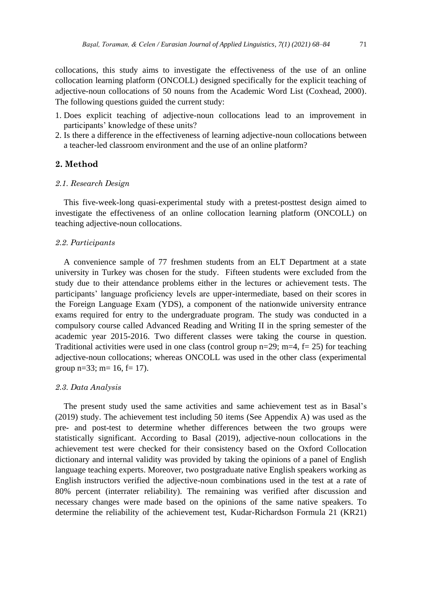collocations, this study aims to investigate the effectiveness of the use of an online collocation learning platform (ONCOLL) designed specifically for the explicit teaching of adjective-noun collocations of 50 nouns from the Academic Word List (Coxhead, 2000). The following questions guided the current study:

- 1. Does explicit teaching of adjective-noun collocations lead to an improvement in participants' knowledge of these units?
- 2. Is there a difference in the effectiveness of learning adjective-noun collocations between a teacher-led classroom environment and the use of an online platform?

## **2. Method**

## *2.1. Research Design*

This five-week-long quasi-experimental study with a pretest-posttest design aimed to investigate the effectiveness of an online collocation learning platform (ONCOLL) on teaching adjective-noun collocations.

#### *2.2. Participants*

A convenience sample of 77 freshmen students from an ELT Department at a state university in Turkey was chosen for the study. Fifteen students were excluded from the study due to their attendance problems either in the lectures or achievement tests. The participants' language proficiency levels are upper-intermediate, based on their scores in the Foreign Language Exam (YDS), a component of the nationwide university entrance exams required for entry to the undergraduate program. The study was conducted in a compulsory course called Advanced Reading and Writing II in the spring semester of the academic year 2015-2016. Two different classes were taking the course in question. Traditional activities were used in one class (control group  $n=29$ ;  $m=4$ ,  $f= 25$ ) for teaching adjective-noun collocations; whereas ONCOLL was used in the other class (experimental group  $n=33$ ;  $m=16$ ,  $f=17$ ).

#### *2.3. Data Analysis*

The present study used the same activities and same achievement test as in Basal's (2019) study. The achievement test including 50 items (See Appendix A) was used as the pre- and post-test to determine whether differences between the two groups were statistically significant. According to Basal (2019), adjective-noun collocations in the achievement test were checked for their consistency based on the Oxford Collocation dictionary and internal validity was provided by taking the opinions of a panel of English language teaching experts. Moreover, two postgraduate native English speakers working as English instructors verified the adjective-noun combinations used in the test at a rate of 80% percent (interrater reliability). The remaining was verified after discussion and necessary changes were made based on the opinions of the same native speakers. To determine the reliability of the achievement test, Kudar-Richardson Formula 21 (KR21)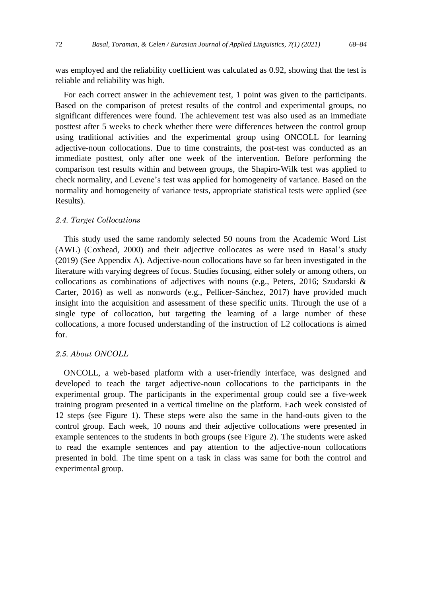was employed and the reliability coefficient was calculated as 0.92, showing that the test is reliable and reliability was high.

For each correct answer in the achievement test, 1 point was given to the participants. Based on the comparison of pretest results of the control and experimental groups, no significant differences were found. The achievement test was also used as an immediate posttest after 5 weeks to check whether there were differences between the control group using traditional activities and the experimental group using ONCOLL for learning adjective-noun collocations. Due to time constraints, the post-test was conducted as an immediate posttest, only after one week of the intervention. Before performing the comparison test results within and between groups, the Shapiro-Wilk test was applied to check normality, and Levene's test was applied for homogeneity of variance. Based on the normality and homogeneity of variance tests, appropriate statistical tests were applied (see Results).

## *2.4. Target Collocations*

This study used the same randomly selected 50 nouns from the Academic Word List (AWL) (Coxhead, 2000) and their adjective collocates as were used in Basal's study (2019) (See Appendix A). Adjective-noun collocations have so far been investigated in the literature with varying degrees of focus. Studies focusing, either solely or among others, on collocations as combinations of adjectives with nouns (e.g., Peters, 2016; Szudarski & Carter, 2016) as well as nonwords (e.g., Pellicer-Sánchez, 2017) have provided much insight into the acquisition and assessment of these specific units. Through the use of a single type of collocation, but targeting the learning of a large number of these collocations, a more focused understanding of the instruction of L2 collocations is aimed for.

## *2.5. About ONCOLL*

ONCOLL, a web-based platform with a user-friendly interface, was designed and developed to teach the target adjective-noun collocations to the participants in the experimental group. The participants in the experimental group could see a five-week training program presented in a vertical timeline on the platform. Each week consisted of 12 steps (see Figure 1). These steps were also the same in the hand-outs given to the control group. Each week, 10 nouns and their adjective collocations were presented in example sentences to the students in both groups (see Figure 2). The students were asked to read the example sentences and pay attention to the adjective-noun collocations presented in bold. The time spent on a task in class was same for both the control and experimental group.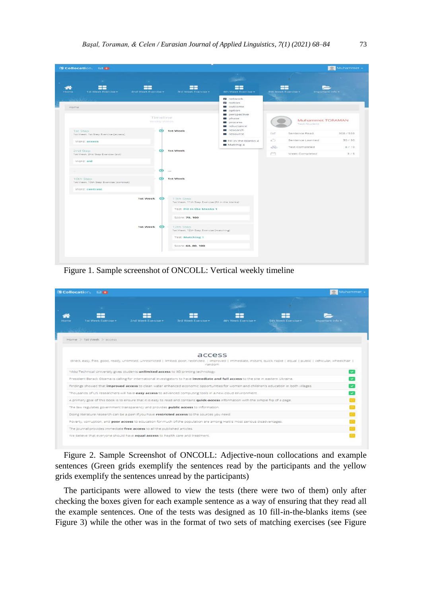| <b>薄 Collocation.</b> ⊠ 0<br>$\alpha = 1$<br>mar.                      |                          |                                                                |                                                        |                  |                                                       | Muhammet - |
|------------------------------------------------------------------------|--------------------------|----------------------------------------------------------------|--------------------------------------------------------|------------------|-------------------------------------------------------|------------|
| 22<br>22<br>⋘<br>Home<br>1st Week Exercise -<br>2nd Week Exercise -    |                          | 22<br>3rd Week Exercise -                                      | 言言<br>4th Week Exercise -                              |                  | 22<br><b>Stri Week Exercise -</b><br>Important Info - |            |
| Home                                                                   |                          |                                                                | <b>a</b> network<br>a notion<br>outcome<br>option      |                  |                                                       |            |
|                                                                        | Timeline<br>Weekly Words |                                                                | perspective<br>phase<br><b>D</b> process<br>reluctance |                  | Muhammet TORAMAN<br>Test-Student                      |            |
| 1st Step<br>1st Week, 1st Step Exercise (access)                       |                          | S 1st Week                                                     | research<br><b>B</b> resource                          | $\sim$           | Sentence Read                                         | 308 / 559  |
| Word: access                                                           |                          |                                                                | Fill in the blanks 4                                   | $\mathbb{R}^{n}$ | Sentence Learned                                      | 30/50      |
| 2nd Step                                                               |                          | S 1st Week                                                     | Matchig 4                                              | 3                | Test Completed                                        | 6/10       |
| Tat Week, 2nd Step Exercise (aid).                                     |                          |                                                                |                                                        | m                | Week Completed                                        | 315        |
| 10th Step<br>1st Week, 10th Step Exercise (contrast)<br>Word: contrast | $\bullet$                | $-0.0001$<br>S 1st Week                                        |                                                        |                  |                                                       |            |
| 1st Week                                                               | $\bullet$                | 11th Step<br>1st Week, 11th Step Exercise (fill in the blanks) |                                                        |                  |                                                       |            |
|                                                                        |                          | Test. Fill in the blanks 1                                     |                                                        |                  |                                                       |            |
|                                                                        |                          | Score: 70, 100                                                 |                                                        |                  |                                                       |            |
| 1st Week                                                               | $\bullet$                | 12th Step<br>1st Week, 12th Step Exercise (matching)           |                                                        |                  |                                                       |            |
|                                                                        |                          | <b>Test Matching 1</b>                                         |                                                        |                  |                                                       |            |
|                                                                        |                          | Score: 60, 80, 100                                             |                                                        |                  |                                                       |            |

Figure 1. Sample screenshot of ONCOLL: Vertical weekly timeline

| <b>Collocation.</b> 520                                                   |                     |                                                                                                           |                                                                                                                                                                              |                     | Muhammet -       |
|---------------------------------------------------------------------------|---------------------|-----------------------------------------------------------------------------------------------------------|------------------------------------------------------------------------------------------------------------------------------------------------------------------------------|---------------------|------------------|
|                                                                           |                     |                                                                                                           |                                                                                                                                                                              |                     |                  |
| 1st Week Exercise =                                                       | 2nd Week Exercise - | 3rd Week Exercise =                                                                                       | 4th Week Exercise -                                                                                                                                                          | 5th Week Exercise - | Important Info + |
|                                                                           |                     |                                                                                                           |                                                                                                                                                                              |                     |                  |
| Home > 1st Week > access                                                  |                     |                                                                                                           |                                                                                                                                                                              |                     |                  |
|                                                                           |                     | access                                                                                                    |                                                                                                                                                                              |                     |                  |
|                                                                           |                     |                                                                                                           |                                                                                                                                                                              |                     |                  |
|                                                                           |                     | random                                                                                                    | direct, easy, free, good, ready, unlimited, unrestricted   limited, poor, restricted.   improved   immediate, instant, quick, rapid   equal   public   vehicular, wheelchair |                     |                  |
|                                                                           |                     | Yildiz Technical University gives students unlimited access to 3D printing technology.                    |                                                                                                                                                                              |                     |                  |
|                                                                           |                     |                                                                                                           | President Barack Obama is calling for international investigators to have immediate and full access to the site in eastern Ukraine.                                          |                     |                  |
|                                                                           |                     |                                                                                                           | Findings showed that <i>improved access</i> to clean water enhanced economic opportunities for women and children's education in both villages.                              |                     |                  |
|                                                                           |                     | Thousands of US researchers will have easy access to advanced computing tools in a new cloud environment. |                                                                                                                                                                              |                     |                  |
|                                                                           |                     |                                                                                                           | A primary goal of this book is to ensure that it is easy to read and contains quick-access information with the simple flip of a page.                                       |                     |                  |
|                                                                           |                     | The law regulates government transparency and provides public access to information.                      |                                                                                                                                                                              |                     |                  |
|                                                                           |                     | Doing literature research can be a pain if you have restricted access to the sources you need.            |                                                                                                                                                                              |                     |                  |
|                                                                           |                     |                                                                                                           | Poverty, corruption, and poor access to education for much of the population are among Halti's most serious disadvantages.                                                   |                     |                  |
| The journal provides immediate free access to all the published articles. |                     |                                                                                                           |                                                                                                                                                                              |                     |                  |

Figure 2. Sample Screenshot of ONCOLL: Adjective-noun collocations and example sentences (Green grids exemplify the sentences read by the participants and the yellow grids exemplify the sentences unread by the participants)

The participants were allowed to view the tests (there were two of them) only after checking the boxes given for each example sentence as a way of ensuring that they read all the example sentences. One of the tests was designed as 10 fill-in-the-blanks items (see Figure 3) while the other was in the format of two sets of matching exercises (see Figure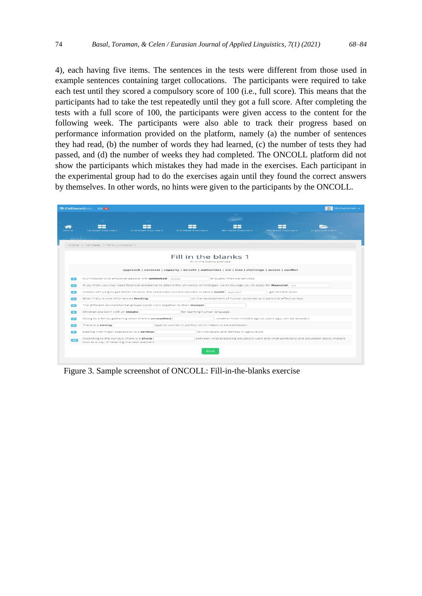4), each having five items. The sentences in the tests were different from those used in example sentences containing target collocations. The participants were required to take each test until they scored a compulsory score of 100 (i.e., full score). This means that the participants had to take the test repeatedly until they got a full score. After completing the tests with a full score of 100, the participants were given access to the content for the following week. The participants were also able to track their progress based on performance information provided on the platform, namely (a) the number of sentences they had read, (b) the number of words they had learned, (c) the number of tests they had passed, and (d) the number of weeks they had completed. The ONCOLL platform did not show the participants which mistakes they had made in the exercises. Each participant in the experimental group had to do the exercises again until they found the correct answers by themselves. In other words, no hints were given to the participants by the ONCOLL.

|                 | <b>EL Collocation.</b> 63 0                                                                                                      |                              |                                                                                                     |                                                                                         |                  |
|-----------------|----------------------------------------------------------------------------------------------------------------------------------|------------------------------|-----------------------------------------------------------------------------------------------------|-----------------------------------------------------------------------------------------|------------------|
|                 | 1st Week Exercise -<br>2nd Week Exercise -                                                                                       | 3rd Week Exercise -          | 4th Week Exercise -                                                                                 | <b>Sth Week Exercise -</b>                                                              | Important Info - |
|                 | Home > 1st Week > Fill in the blanks 1                                                                                           |                              |                                                                                                     |                                                                                         |                  |
|                 |                                                                                                                                  | fill in the blanks exercise  | Fill in the blanks 1                                                                                |                                                                                         |                  |
|                 |                                                                                                                                  |                              | approach   contrast   capacity   benefit   authorities   aid   bias   challenge   access   conflict |                                                                                         |                  |
|                 | Our Mission is to empower people with unlimited access                                                                           |                              | to quality financial services.                                                                      |                                                                                         |                  |
|                 | If you think you may need financial assistance to attend the University of Michigan, we encourage you to apply for financial aid |                              |                                                                                                     |                                                                                         |                  |
|                 | Instead of trying to get better reviews, the restaurant owners decided to take a novel approach                                  |                              |                                                                                                     | get terrible ones.                                                                      |                  |
| -               | Brian Tracy is one of America's leading                                                                                          |                              |                                                                                                     | on the development of human potential and personal effectiveness.                       |                  |
|                 | The different environmental groups could work together to their mutual                                                           |                              |                                                                                                     |                                                                                         |                  |
| $\bullet$       | Children are born with an innate                                                                                                 | for learning human language. |                                                                                                     |                                                                                         |                  |
| 57              | Going to a family gathering when there's unresolved                                                                              |                              |                                                                                                     | , whether from months ago or years ago, can be stressful.                               |                  |
|                 | There is a strong                                                                                                                |                              | against women in politics which needs to be addressed.                                              |                                                                                         |                  |
|                 |                                                                                                                                  |                              |                                                                                                     |                                                                                         |                  |
|                 | Dealing with major depression is a serious                                                                                       |                              | to individuals and families in agriculture.                                                         |                                                                                         |                  |
| 10 <sup>1</sup> | According to the surveys, there is a sharp<br>tout as a way of retaining the best teachers.                                      |                              |                                                                                                     | between what practicing educators want and what politicians and education policy makers |                  |
|                 |                                                                                                                                  |                              |                                                                                                     |                                                                                         |                  |

Figure 3. Sample screenshot of ONCOLL: Fill-in-the-blanks exercise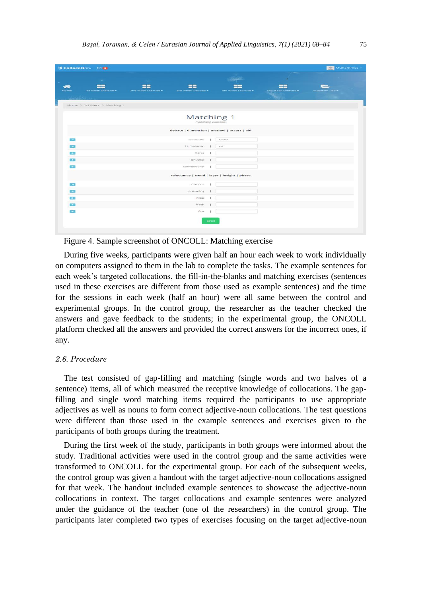| <b>M</b> Collocation. Ea o        |                                                        |     |                     |                           | Muhammet -       |
|-----------------------------------|--------------------------------------------------------|-----|---------------------|---------------------------|------------------|
| <b>COL</b>                        | -                                                      |     | <b>Contract</b>     |                           |                  |
| 言言<br>1st Week Exercise -<br>Home | ٢F<br>88<br>2nd Week Exercise =<br>3rd Week Exercise - |     | 4th Week Exercise - | 22<br>Sth Week Exercise + | Important Info = |
| Home > 1st Week > Matching 1      |                                                        |     |                     |                           |                  |
|                                   | Matching 1<br>matching exercise                        |     |                     |                           |                  |
|                                   | debate   dimension   method   access   aid             |     |                     |                           |                  |
| $-1$                              | improved                                               |     | access              |                           |                  |
| 5-750                             | humatarian                                             |     | aid.                |                           |                  |
| Г.                                | fierce                                                 |     |                     |                           |                  |
| P.                                | physical                                               | -1  |                     |                           |                  |
| <b>Security</b>                   | conventional                                           |     |                     |                           |                  |
|                                   | reluctance   trend   layer   insight   phase           |     |                     |                           |                  |
| $\Box$                            | obvious                                                |     |                     |                           |                  |
| 医动                                | prevailing                                             |     |                     |                           |                  |
| $\overline{1}$                    | Initial                                                |     |                     |                           |                  |
| <b>CENT</b>                       | fresh                                                  |     |                     |                           |                  |
| <b>SEC</b>                        | fine                                                   |     |                     |                           |                  |
|                                   |                                                        | End |                     |                           |                  |

Figure 4. Sample screenshot of ONCOLL: Matching exercise

During five weeks, participants were given half an hour each week to work individually on computers assigned to them in the lab to complete the tasks. The example sentences for each week's targeted collocations, the fill-in-the-blanks and matching exercises (sentences used in these exercises are different from those used as example sentences) and the time for the sessions in each week (half an hour) were all same between the control and experimental groups. In the control group, the researcher as the teacher checked the answers and gave feedback to the students; in the experimental group, the ONCOLL platform checked all the answers and provided the correct answers for the incorrect ones, if any.

## *2.6. Procedure*

The test consisted of gap-filling and matching (single words and two halves of a sentence) items, all of which measured the receptive knowledge of collocations. The gapfilling and single word matching items required the participants to use appropriate adjectives as well as nouns to form correct adjective-noun collocations. The test questions were different than those used in the example sentences and exercises given to the participants of both groups during the treatment.

During the first week of the study, participants in both groups were informed about the study. Traditional activities were used in the control group and the same activities were transformed to ONCOLL for the experimental group. For each of the subsequent weeks, the control group was given a handout with the target adjective-noun collocations assigned for that week. The handout included example sentences to showcase the adjective-noun collocations in context. The target collocations and example sentences were analyzed under the guidance of the teacher (one of the researchers) in the control group. The participants later completed two types of exercises focusing on the target adjective-noun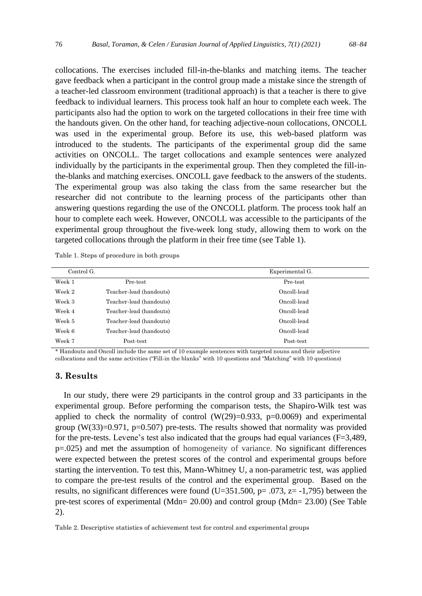collocations. The exercises included fill-in-the-blanks and matching items. The teacher gave feedback when a participant in the control group made a mistake since the strength of a teacher-led classroom environment (traditional approach) is that a teacher is there to give feedback to individual learners. This process took half an hour to complete each week. The participants also had the option to work on the targeted collocations in their free time with the handouts given. On the other hand, for teaching adjective-noun collocations, ONCOLL was used in the experimental group. Before its use, this web-based platform was introduced to the students. The participants of the experimental group did the same activities on ONCOLL. The target collocations and example sentences were analyzed individually by the participants in the experimental group. Then they completed the fill-inthe-blanks and matching exercises. ONCOLL gave feedback to the answers of the students. The experimental group was also taking the class from the same researcher but the researcher did not contribute to the learning process of the participants other than answering questions regarding the use of the ONCOLL platform. The process took half an hour to complete each week. However, ONCOLL was accessible to the participants of the experimental group throughout the five-week long study, allowing them to work on the targeted collocations through the platform in their free time (see Table 1).

Table 1. Steps of procedure in both groups

|                         | Experimental G. |
|-------------------------|-----------------|
| Pre-test                | Pre-test        |
| Teacher-lead (handouts) | Oncoll-lead     |
| Teacher-lead (handouts) | Oncoll-lead     |
| Teacher-lead (handouts) | Oncoll-lead     |
| Teacher-lead (handouts) | Oncoll-lead     |
| Teacher-lead (handouts) | Oncoll-lead     |
| Post-test               | Post-test       |
|                         |                 |

\* Handouts and Oncoll include the same set of 10 example sentences with targeted nouns and their adjective collocations and the same activities ("Fill-in the blanks" with 10 questions and "Matching" with 10 questions)

## **3. Results**

In our study, there were 29 participants in the control group and 33 participants in the experimental group. Before performing the comparison tests, the Shapiro-Wilk test was applied to check the normality of control  $(W(29)=0.933, p=0.0069)$  and experimental group  $(W(33)=0.971, p=0.507)$  pre-tests. The results showed that normality was provided for the pre-tests. Levene's test also indicated that the groups had equal variances ( $F=3,489$ , p=.025) and met the assumption of homogeneity of variance. No significant differences were expected between the pretest scores of the control and experimental groups before starting the intervention. To test this, Mann-Whitney U, a non-parametric test, was applied to compare the pre-test results of the control and the experimental group. Based on the results, no significant differences were found (U=351.500,  $p = .073$ ,  $z = -1,795$ ) between the pre-test scores of experimental (Mdn= 20.00) and control group (Mdn= 23.00) (See Table 2).

Table 2. Descriptive statistics of achievement test for control and experimental groups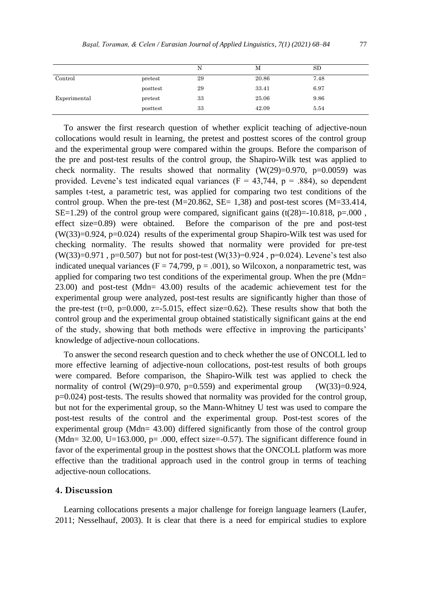|              |          | N  | М     | SD   |
|--------------|----------|----|-------|------|
| Control      | pretest  | 29 | 20.86 | 7.48 |
|              | posttest | 29 | 33.41 | 6.97 |
| Experimental | pretest  | 33 | 25.06 | 9.86 |
|              | posttest | 33 | 42.09 | 5.54 |

To answer the first research question of whether explicit teaching of adjective-noun collocations would result in learning, the pretest and posttest scores of the control group and the experimental group were compared within the groups. Before the comparison of the pre and post-test results of the control group, the Shapiro-Wilk test was applied to check normality. The results showed that normality  $(W(29)=0.970, p=0.0059)$  was provided. Levene's test indicated equal variances ( $F = 43,744$ ,  $p = .884$ ), so dependent samples t-test, a parametric test, was applied for comparing two test conditions of the control group. When the pre-test  $(M=20.862, SE= 1,38)$  and post-test scores  $(M=33.414,$ SE=1.29) of the control group were compared, significant gains  $(t(28)=10.818, p=.000$ , effect size=0.89) were obtained. Before the comparison of the pre and post-test (W(33)=0.924, p=0.024) results of the experimental group Shapiro-Wilk test was used for checking normality. The results showed that normality were provided for pre-test  $(W(33)=0.971, p=0.507)$  but not for post-test  $(W(33)=0.924, p=0.024)$ . Levene's test also indicated unequal variances ( $F = 74,799$ ,  $p = .001$ ), so Wilcoxon, a nonparametric test, was applied for comparing two test conditions of the experimental group. When the pre (Mdn= 23.00) and post-test (Mdn= 43.00) results of the academic achievement test for the experimental group were analyzed, post-test results are significantly higher than those of the pre-test (t=0, p=0.000, z=-5.015, effect size=0.62). These results show that both the control group and the experimental group obtained statistically significant gains at the end of the study, showing that both methods were effective in improving the participants' knowledge of adjective-noun collocations.

To answer the second research question and to check whether the use of ONCOLL led to more effective learning of adjective-noun collocations, post-test results of both groups were compared. Before comparison, the Shapiro-Wilk test was applied to check the normality of control (W(29)=0.970, p=0.559) and experimental group (W(33)=0.924, p=0.024) post-tests. The results showed that normality was provided for the control group, but not for the experimental group, so the Mann-Whitney U test was used to compare the post-test results of the control and the experimental group. Post-test scores of the experimental group (Mdn= 43.00) differed significantly from those of the control group (Mdn=  $32.00$ , U=163.000, p= .000, effect size= $-0.57$ ). The significant difference found in favor of the experimental group in the posttest shows that the ONCOLL platform was more effective than the traditional approach used in the control group in terms of teaching adjective-noun collocations.

#### **4. Discussion**

Learning collocations presents a major challenge for foreign language learners (Laufer, 2011; Nesselhauf, 2003). It is clear that there is a need for empirical studies to explore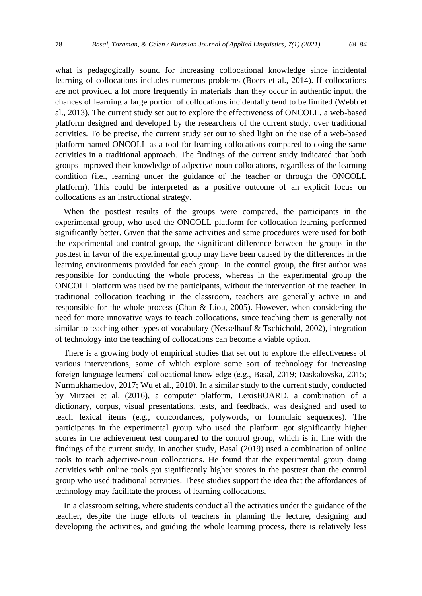what is pedagogically sound for increasing collocational knowledge since incidental learning of collocations includes numerous problems (Boers et al., 2014). If collocations are not provided a lot more frequently in materials than they occur in authentic input, the chances of learning a large portion of collocations incidentally tend to be limited (Webb et al., 2013). The current study set out to explore the effectiveness of ONCOLL, a web-based platform designed and developed by the researchers of the current study, over traditional activities. To be precise, the current study set out to shed light on the use of a web-based platform named ONCOLL as a tool for learning collocations compared to doing the same activities in a traditional approach. The findings of the current study indicated that both groups improved their knowledge of adjective-noun collocations, regardless of the learning condition (i.e., learning under the guidance of the teacher or through the ONCOLL platform). This could be interpreted as a positive outcome of an explicit focus on collocations as an instructional strategy.

When the posttest results of the groups were compared, the participants in the experimental group, who used the ONCOLL platform for collocation learning performed significantly better. Given that the same activities and same procedures were used for both the experimental and control group, the significant difference between the groups in the posttest in favor of the experimental group may have been caused by the differences in the learning environments provided for each group. In the control group, the first author was responsible for conducting the whole process, whereas in the experimental group the ONCOLL platform was used by the participants, without the intervention of the teacher. In traditional collocation teaching in the classroom, teachers are generally active in and responsible for the whole process (Chan & Liou, 2005). However, when considering the need for more innovative ways to teach collocations, since teaching them is generally not similar to teaching other types of vocabulary (Nesselhauf & Tschichold, 2002), integration of technology into the teaching of collocations can become a viable option.

There is a growing body of empirical studies that set out to explore the effectiveness of various interventions, some of which explore some sort of technology for increasing foreign language learners' collocational knowledge (e.g., Basal, 2019; Daskalovska, 2015; Nurmukhamedov, 2017; Wu et al., 2010). In a similar study to the current study, conducted by Mirzaei et al. (2016), a computer platform, LexisBOARD, a combination of a dictionary, corpus, visual presentations, tests, and feedback, was designed and used to teach lexical items (e.g., concordances, polywords, or formulaic sequences). The participants in the experimental group who used the platform got significantly higher scores in the achievement test compared to the control group, which is in line with the findings of the current study. In another study, Basal (2019) used a combination of online tools to teach adjective-noun collocations. He found that the experimental group doing activities with online tools got significantly higher scores in the posttest than the control group who used traditional activities. These studies support the idea that the affordances of technology may facilitate the process of learning collocations.

In a classroom setting, where students conduct all the activities under the guidance of the teacher, despite the huge efforts of teachers in planning the lecture, designing and developing the activities, and guiding the whole learning process, there is relatively less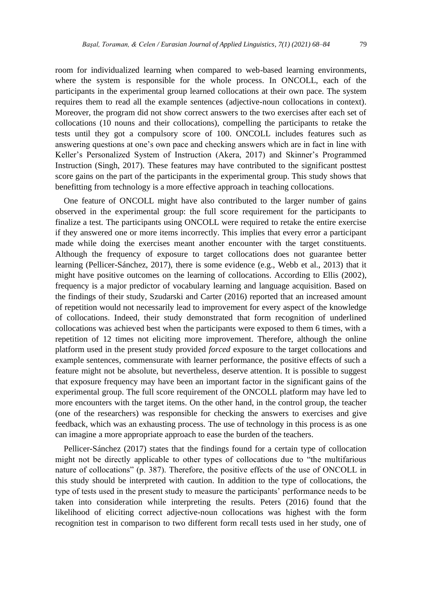room for individualized learning when compared to web-based learning environments, where the system is responsible for the whole process. In ONCOLL, each of the participants in the experimental group learned collocations at their own pace. The system requires them to read all the example sentences (adjective-noun collocations in context). Moreover, the program did not show correct answers to the two exercises after each set of collocations (10 nouns and their collocations), compelling the participants to retake the tests until they got a compulsory score of 100. ONCOLL includes features such as answering questions at one's own pace and checking answers which are in fact in line with Keller's Personalized System of Instruction (Akera, 2017) and Skinner's Programmed Instruction (Singh, 2017). These features may have contributed to the significant posttest score gains on the part of the participants in the experimental group. This study shows that benefitting from technology is a more effective approach in teaching collocations.

One feature of ONCOLL might have also contributed to the larger number of gains observed in the experimental group: the full score requirement for the participants to finalize a test. The participants using ONCOLL were required to retake the entire exercise if they answered one or more items incorrectly. This implies that every error a participant made while doing the exercises meant another encounter with the target constituents. Although the frequency of exposure to target collocations does not guarantee better learning (Pellicer-Sánchez, 2017), there is some evidence (e.g., Webb et al., 2013) that it might have positive outcomes on the learning of collocations. According to Ellis (2002), frequency is a major predictor of vocabulary learning and language acquisition. Based on the findings of their study, Szudarski and Carter (2016) reported that an increased amount of repetition would not necessarily lead to improvement for every aspect of the knowledge of collocations. Indeed, their study demonstrated that form recognition of underlined collocations was achieved best when the participants were exposed to them 6 times, with a repetition of 12 times not eliciting more improvement. Therefore, although the online platform used in the present study provided *forced* exposure to the target collocations and example sentences, commensurate with learner performance, the positive effects of such a feature might not be absolute, but nevertheless, deserve attention. It is possible to suggest that exposure frequency may have been an important factor in the significant gains of the experimental group. The full score requirement of the ONCOLL platform may have led to more encounters with the target items. On the other hand, in the control group, the teacher (one of the researchers) was responsible for checking the answers to exercises and give feedback, which was an exhausting process. The use of technology in this process is as one can imagine a more appropriate approach to ease the burden of the teachers.

Pellicer-Sánchez (2017) states that the findings found for a certain type of collocation might not be directly applicable to other types of collocations due to "the multifarious nature of collocations" (p. 387). Therefore, the positive effects of the use of ONCOLL in this study should be interpreted with caution. In addition to the type of collocations, the type of tests used in the present study to measure the participants' performance needs to be taken into consideration while interpreting the results. Peters (2016) found that the likelihood of eliciting correct adjective-noun collocations was highest with the form recognition test in comparison to two different form recall tests used in her study, one of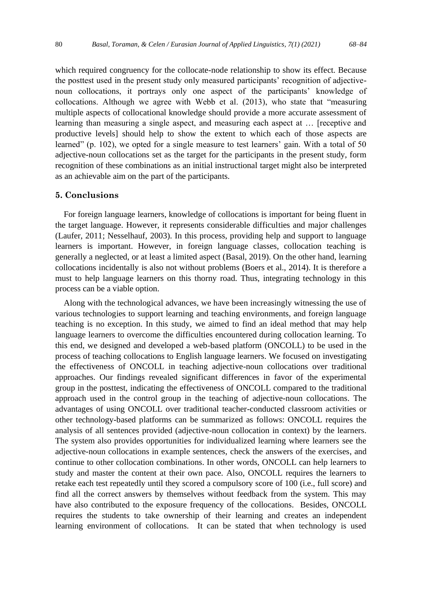which required congruency for the collocate-node relationship to show its effect. Because the posttest used in the present study only measured participants' recognition of adjectivenoun collocations, it portrays only one aspect of the participants' knowledge of collocations. Although we agree with Webb et al. (2013), who state that "measuring multiple aspects of collocational knowledge should provide a more accurate assessment of learning than measuring a single aspect, and measuring each aspect at … [receptive and productive levels] should help to show the extent to which each of those aspects are learned" (p. 102), we opted for a single measure to test learners' gain. With a total of 50 adjective-noun collocations set as the target for the participants in the present study, form recognition of these combinations as an initial instructional target might also be interpreted as an achievable aim on the part of the participants.

### **5. Conclusions**

For foreign language learners, knowledge of collocations is important for being fluent in the target language. However, it represents considerable difficulties and major challenges (Laufer, 2011; Nesselhauf, 2003). In this process, providing help and support to language learners is important. However, in foreign language classes, collocation teaching is generally a neglected, or at least a limited aspect (Basal, 2019). On the other hand, learning collocations incidentally is also not without problems (Boers et al., 2014). It is therefore a must to help language learners on this thorny road. Thus, integrating technology in this process can be a viable option.

Along with the technological advances, we have been increasingly witnessing the use of various technologies to support learning and teaching environments, and foreign language teaching is no exception. In this study, we aimed to find an ideal method that may help language learners to overcome the difficulties encountered during collocation learning. To this end, we designed and developed a web-based platform (ONCOLL) to be used in the process of teaching collocations to English language learners. We focused on investigating the effectiveness of ONCOLL in teaching adjective-noun collocations over traditional approaches. Our findings revealed significant differences in favor of the experimental group in the posttest, indicating the effectiveness of ONCOLL compared to the traditional approach used in the control group in the teaching of adjective-noun collocations. The advantages of using ONCOLL over traditional teacher-conducted classroom activities or other technology-based platforms can be summarized as follows: ONCOLL requires the analysis of all sentences provided (adjective-noun collocation in context) by the learners. The system also provides opportunities for individualized learning where learners see the adjective-noun collocations in example sentences, check the answers of the exercises, and continue to other collocation combinations. In other words, ONCOLL can help learners to study and master the content at their own pace. Also, ONCOLL requires the learners to retake each test repeatedly until they scored a compulsory score of 100 (i.e., full score) and find all the correct answers by themselves without feedback from the system. This may have also contributed to the exposure frequency of the collocations. Besides, ONCOLL requires the students to take ownership of their learning and creates an independent learning environment of collocations. It can be stated that when technology is used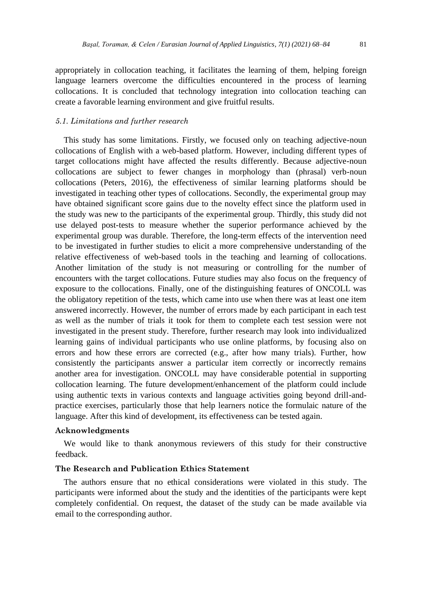appropriately in collocation teaching, it facilitates the learning of them, helping foreign language learners overcome the difficulties encountered in the process of learning collocations. It is concluded that technology integration into collocation teaching can create a favorable learning environment and give fruitful results.

## *5.1. Limitations and further research*

This study has some limitations. Firstly, we focused only on teaching adjective-noun collocations of English with a web-based platform. However, including different types of target collocations might have affected the results differently. Because adjective-noun collocations are subject to fewer changes in morphology than (phrasal) verb-noun collocations (Peters, 2016), the effectiveness of similar learning platforms should be investigated in teaching other types of collocations. Secondly, the experimental group may have obtained significant score gains due to the novelty effect since the platform used in the study was new to the participants of the experimental group. Thirdly, this study did not use delayed post-tests to measure whether the superior performance achieved by the experimental group was durable. Therefore, the long-term effects of the intervention need to be investigated in further studies to elicit a more comprehensive understanding of the relative effectiveness of web-based tools in the teaching and learning of collocations. Another limitation of the study is not measuring or controlling for the number of encounters with the target collocations. Future studies may also focus on the frequency of exposure to the collocations. Finally, one of the distinguishing features of ONCOLL was the obligatory repetition of the tests, which came into use when there was at least one item answered incorrectly. However, the number of errors made by each participant in each test as well as the number of trials it took for them to complete each test session were not investigated in the present study. Therefore, further research may look into individualized learning gains of individual participants who use online platforms, by focusing also on errors and how these errors are corrected (e.g., after how many trials). Further, how consistently the participants answer a particular item correctly or incorrectly remains another area for investigation. ONCOLL may have considerable potential in supporting collocation learning. The future development/enhancement of the platform could include using authentic texts in various contexts and language activities going beyond drill-andpractice exercises, particularly those that help learners notice the formulaic nature of the language. After this kind of development, its effectiveness can be tested again.

#### **Acknowledgments**

We would like to thank anonymous reviewers of this study for their constructive feedback.

## **The Research and Publication Ethics Statement**

The authors ensure that no ethical considerations were violated in this study. The participants were informed about the study and the identities of the participants were kept completely confidential. On request, the dataset of the study can be made available via email to the corresponding author.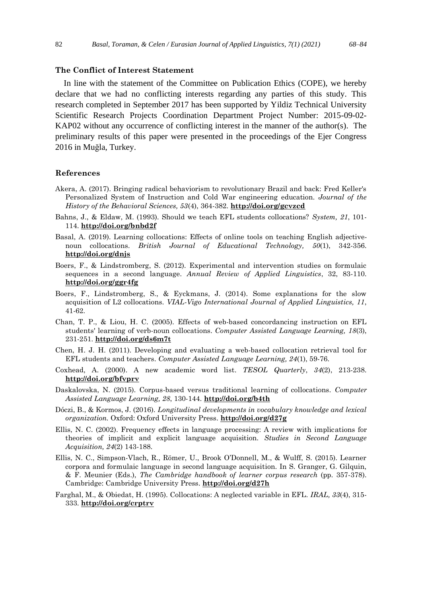## **The Conflict of Interest Statement**

In line with the statement of the Committee on Publication Ethics (COPE), we hereby declare that we had no conflicting interests regarding any parties of this study. This research completed in September 2017 has been supported by Yildiz Technical University Scientific Research Projects Coordination Department Project Number: 2015-09-02- KAP02 without any occurrence of conflicting interest in the manner of the author(s). The preliminary results of this paper were presented in the proceedings of the Ejer Congress 2016 in Muğla, Turkey.

#### **References**

- Akera, A. (2017). Bringing radical behaviorism to revolutionary Brazil and back: Fred Keller's Personalized System of Instruction and Cold War engineering education. *Journal of the History of the Behavioral Sciences, 53*(4), 364-382. **<http://doi.org/gcvzcd>**
- Bahns, J., & Eldaw, M. (1993). Should we teach EFL students collocations? *System, 21*, 101- 114. **<http://doi.org/bnbd2f>**
- Basal, A. (2019). Learning collocations: Effects of online tools on teaching English adjectivenoun collocations. *British Journal of Educational Technology, 50*(1), 342-356. **<http://doi.org/dnjs>**
- Boers, F., & Lindstromberg, S. (2012). Experimental and intervention studies on formulaic sequences in a second language. *Annual Review of Applied Linguistics*, 32, 83-110. **<http://doi.org/ggr4fg>**
- Boers, F., Lindstromberg, S., & Eyckmans, J. (2014). Some explanations for the slow acquisition of L2 collocations. *VIAL-Vigo International Journal of Applied Linguistics, 11*, 41-62.
- Chan, T. P., & Liou, H. C. (2005). Effects of web-based concordancing instruction on EFL students' learning of verb-noun collocations. *Computer Assisted Language Learning, 18*(3), 231-251. **<http://doi.org/ds6m7t>**
- Chen, H. J. H. (2011). Developing and evaluating a web-based collocation retrieval tool for EFL students and teachers. *Computer Assisted Language Learning, 24*(1), 59-76.
- Coxhead, A. (2000). A new academic word list. *TESOL Quarterly*, *34*(2), 213-238. **<http://doi.org/bfvprv>**
- Daskalovska, N. (2015). Corpus-based versus traditional learning of collocations. *Computer Assisted Language Learning, 28*, 130-144. **<http://doi.org/b4th>**
- Dóczi, B., & Kormos, J. (2016). *Longitudinal developments in vocabulary knowledge and lexical organization.* Oxford: Oxford University Press. **<http://doi.org/d27g>**
- Ellis, N. C. (2002). Frequency effects in language processing: A review with implications for theories of implicit and explicit language acquisition. *Studies in Second Language Acquisition, 24*(2) 143-188.
- Ellis, N. C., Simpson-Vlach, R., Römer, U., Brook O'Donnell, M., & Wulff, S. (2015). Learner corpora and formulaic language in second language acquisition. In S. Granger, G. Gilquin, & F. Meunier (Eds.), *The Cambridge handbook of learner corpus research* (pp. 357-378). Cambridge: Cambridge University Press. **<http://doi.org/d27h>**
- Farghal, M., & Obiedat, H. (1995). Collocations: A neglected variable in EFL. *IRAL, 33*(4), 315- 333. **<http://doi.org/crptrv>**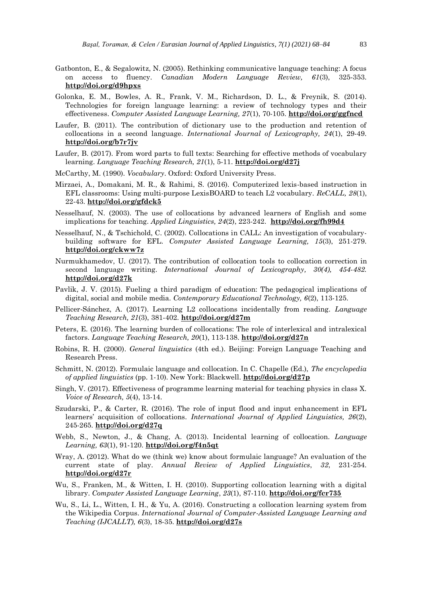- Gatbonton, E., & Segalowitz, N. (2005). Rethinking communicative language teaching: A focus on access to fluency. *Canadian Modern Language Review, 61*(3), 325-353. **<http://doi.org/d9hpxs>**
- Golonka, E. M., Bowles, A. R., Frank, V. M., Richardson, D. L., & Freynik, S. (2014). Technologies for foreign language learning: a review of technology types and their effectiveness. *Computer Assisted Language Learning, 27*(1), 70-105. **<http://doi.org/ggfncd>**
- Laufer, B. (2011). The contribution of dictionary use to the production and retention of collocations in a second language. *International Journal of Lexicography, 24*(1), 29-49. **<http://doi.org/b7r7jv>**
- Laufer, B. (2017). From word parts to full texts: Searching for effective methods of vocabulary learning. *Language Teaching Research, 21*(1), 5-11. **<http://doi.org/d27j>**
- McCarthy, M. (1990). *Vocabulary*. Oxford: Oxford University Press.
- Mirzaei, A., Domakani, M. R., & Rahimi, S. (2016). Computerized lexis-based instruction in EFL classrooms: Using multi-purpose LexisBOARD to teach L2 vocabulary. *ReCALL, 28*(1), 22-43. **<http://doi.org/gfdck5>**
- Nesselhauf, N. (2003). The use of collocations by advanced learners of English and some implications for teaching. *Applied Linguistics, 24*(2), 223-242. **<http://doi.org/fh99d4>**
- Nesselhauf, N., & Tschichold, C. (2002). Collocations in CALL: An investigation of vocabularybuilding software for EFL. *Computer Assisted Language Learning, 15*(3), 251-279. **<http://doi.org/ckww7z>**
- Nurmukhamedov, U. (2017). The contribution of collocation tools to collocation correction in second language writing. *International Journal of Lexicography, 30(4), 454-482.* **<http://doi.org/d27k>**
- Pavlik, J. V. (2015). Fueling a third paradigm of education: The pedagogical implications of digital, social and mobile media. *Contemporary Educational Technology, 6*(2), 113-125.
- Pellicer-Sánchez, A. (2017). Learning L2 collocations incidentally from reading. *Language Teaching Research, 21*(3), 381-402. **<http://doi.org/d27m>**
- Peters, E. (2016). The learning burden of collocations: The role of interlexical and intralexical factors. *Language Teaching Research, 20*(1), 113-138. **<http://doi.org/d27n>**
- Robins, R. H. (2000). *General linguistics* (4th ed.). Beijing: Foreign Language Teaching and Research Press.
- Schmitt, N. (2012). Formulaic language and collocation. In C. Chapelle (Ed.), *The encyclopedia of applied linguistics* (pp. 1-10). New York: Blackwell. **<http://doi.org/d27p>**
- Singh, V. (2017). Effectiveness of programme learning material for teaching physics in class X. *Voice of Research, 5*(4), 13-14.
- Szudarski, P., & Carter, R. (2016). The role of input flood and input enhancement in EFL learners' acquisition of collocations. *International Journal of Applied Linguistics, 26*(2), 245-265. **<http://doi.org/d27q>**
- Webb, S., Newton, J., & Chang, A. (2013). Incidental learning of collocation. *Language Learning, 63*(1), 91-120. **<http://doi.org/f4n5qt>**
- Wray, A. (2012). What do we (think we) know about formulaic language? An evaluation of the current state of play. *Annual Review of Applied Linguistics*, *32*, 231-254. **<http://doi.org/d27r>**
- Wu, S., Franken, M., & Witten, I. H. (2010). Supporting collocation learning with a digital library. *Computer Assisted Language Learning*, *23*(1), 87-110. **<http://doi.org/fcr735>**
- Wu, S., Li, L., Witten, I. H., & Yu, A. (2016). Constructing a collocation learning system from the Wikipedia Corpus. *International Journal of Computer-Assisted Language Learning and Teaching (IJCALLT), 6*(3), 18-35. **<http://doi.org/d27s>**